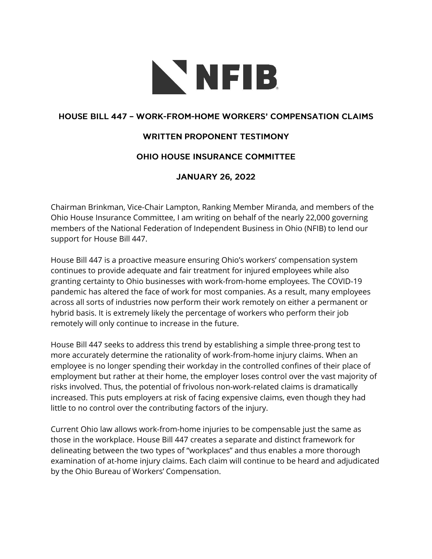

## **HOUSE BILL 447 - WORK-FROM-HOME WORKERS' COMPENSATION CLAIMS**

## **WRITTEN PROPONENT TESTIMONY**

## **OHIO HOUSE INSURANCE COMMITTEE**

## **JANUARY 26, 2022**

Chairman Brinkman, Vice-Chair Lampton, Ranking Member Miranda, and members of the Ohio House Insurance Committee, I am writing on behalf of the nearly 22,000 governing members of the National Federation of Independent Business in Ohio (NFIB) to lend our support for House Bill 447.

House Bill 447 is a proactive measure ensuring Ohio's workers' compensation system continues to provide adequate and fair treatment for injured employees while also granting certainty to Ohio businesses with work-from-home employees. The COVID-19 pandemic has altered the face of work for most companies. As a result, many employees across all sorts of industries now perform their work remotely on either a permanent or hybrid basis. It is extremely likely the percentage of workers who perform their job remotely will only continue to increase in the future.

House Bill 447 seeks to address this trend by establishing a simple three-prong test to more accurately determine the rationality of work-from-home injury claims. When an employee is no longer spending their workday in the controlled confines of their place of employment but rather at their home, the employer loses control over the vast majority of risks involved. Thus, the potential of frivolous non-work-related claims is dramatically increased. This puts employers at risk of facing expensive claims, even though they had little to no control over the contributing factors of the injury.

Current Ohio law allows work-from-home injuries to be compensable just the same as those in the workplace. House Bill 447 creates a separate and distinct framework for delineating between the two types of "workplaces" and thus enables a more thorough examination of at-home injury claims. Each claim will continue to be heard and adjudicated by the Ohio Bureau of Workers' Compensation.